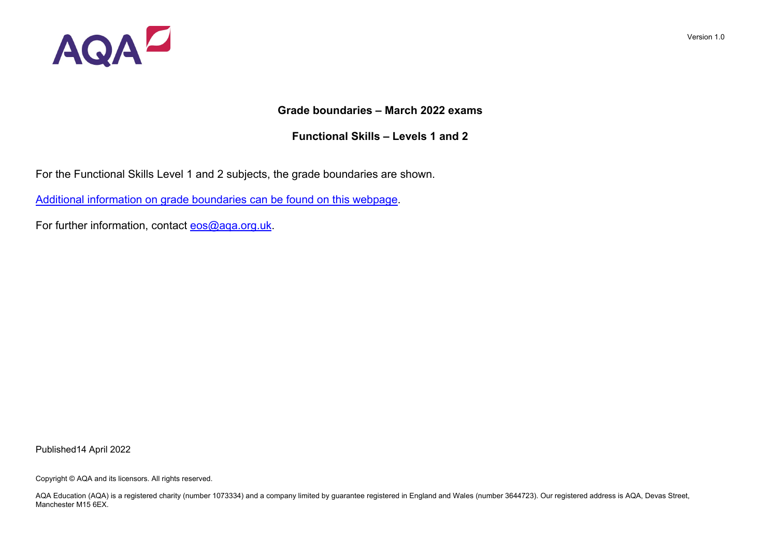

## **Grade boundaries – March 2022 exams**

**Functional Skills – Levels 1 and 2**

For the Functional Skills Level 1 and 2 subjects, the grade boundaries are shown.

[Additional information on grade boundaries can be found](https://www.aqa.org.uk/exams-administration/results-days/grade-boundaries) on this webpage.

For further information, contact **eos@aqa.org.uk.** 

Published14 April 2022

Copyright © AQA and its licensors. All rights reserved.

AQA Education (AQA) is a registered charity (number 1073334) and a company limited by guarantee registered in England and Wales (number 3644723). Our registered address is AQA, Devas Street, Manchester M15 6EX.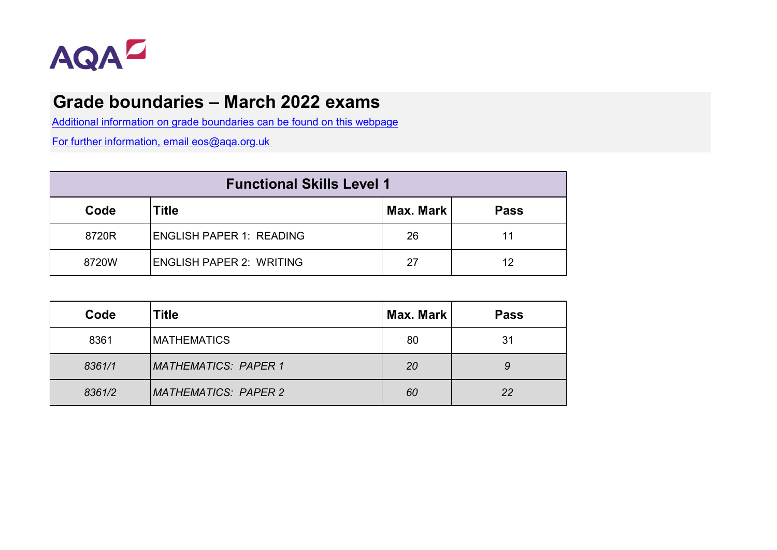

## **Grade boundaries – March 2022 exams**

[Additional information on grade boundaries can be found on this webpage](https://www.aqa.org.uk/exams-administration/results-days/grade-boundaries)

[For further informatio](mailto:eos@aqa.org.uk)n, email eos@aqa.org.uk

| <b>Functional Skills Level 1</b> |                                  |           |             |  |
|----------------------------------|----------------------------------|-----------|-------------|--|
| Code                             | Title                            | Max. Mark | <b>Pass</b> |  |
| 8720R                            | <b>IENGLISH PAPER 1: READING</b> | 26        | 11          |  |
| 8720W                            | <b>IENGLISH PAPER 2: WRITING</b> | 27        | 12          |  |

| Code   | Title                       | Max. Mark | <b>Pass</b> |
|--------|-----------------------------|-----------|-------------|
| 8361   | <b>IMATHEMATICS</b>         | 80        | 31          |
| 8361/1 | <b>MATHEMATICS: PAPER 1</b> | 20        | 9           |
| 8361/2 | MATHEMATICS: PAPER 2        | 60        | 22          |